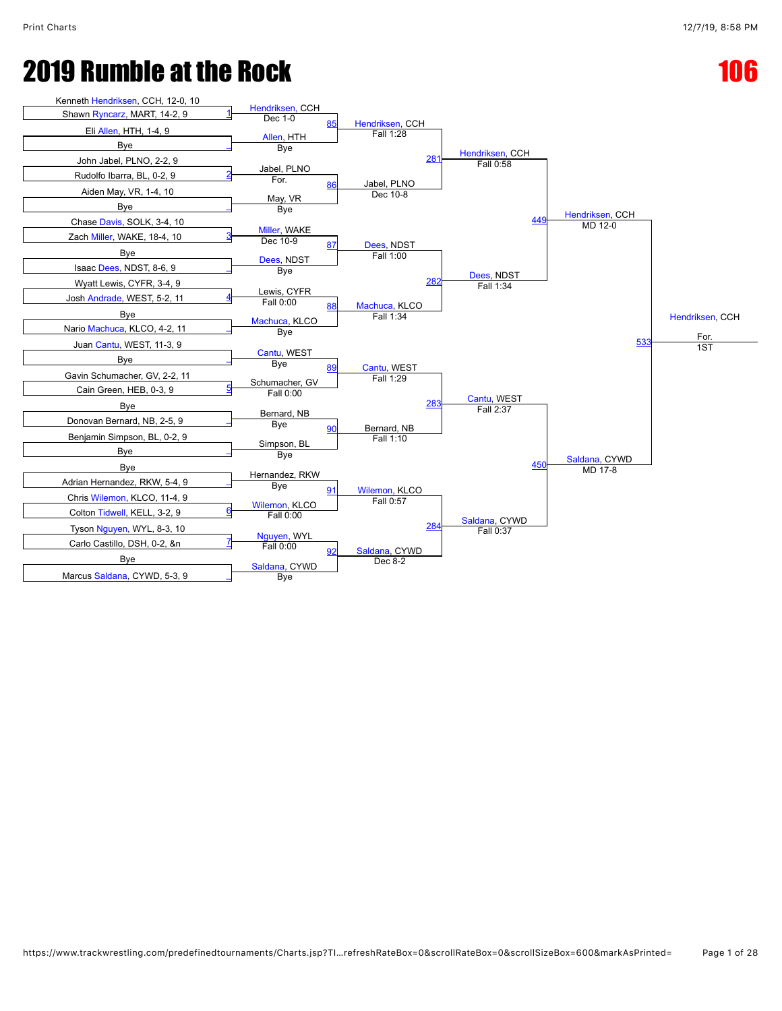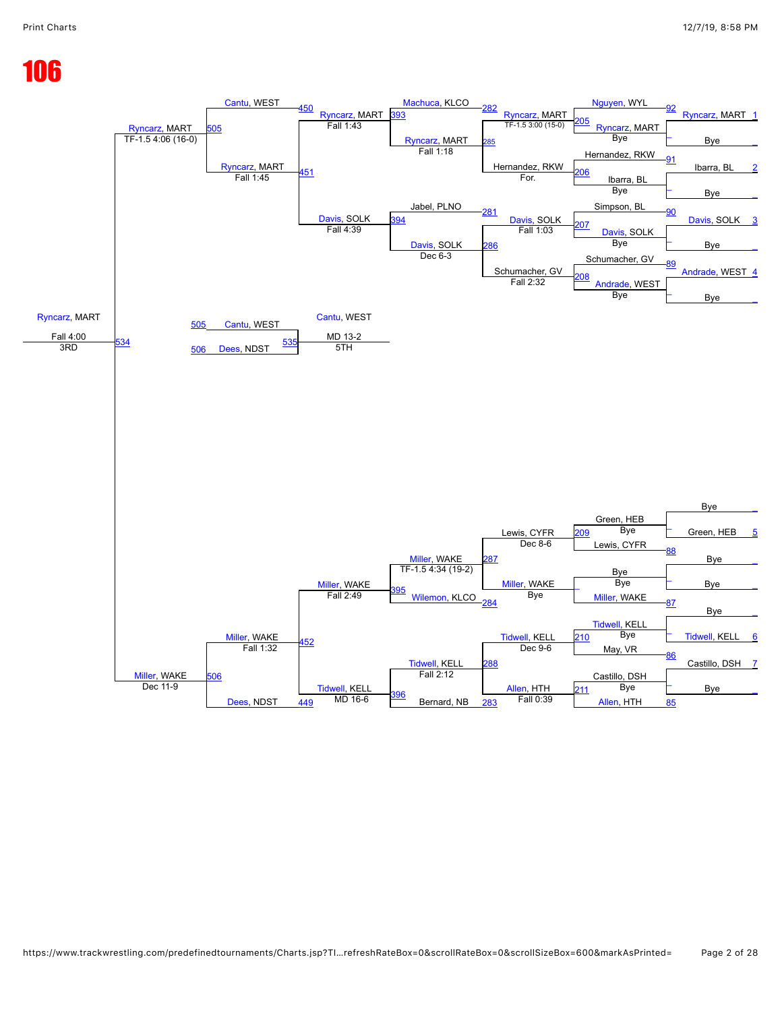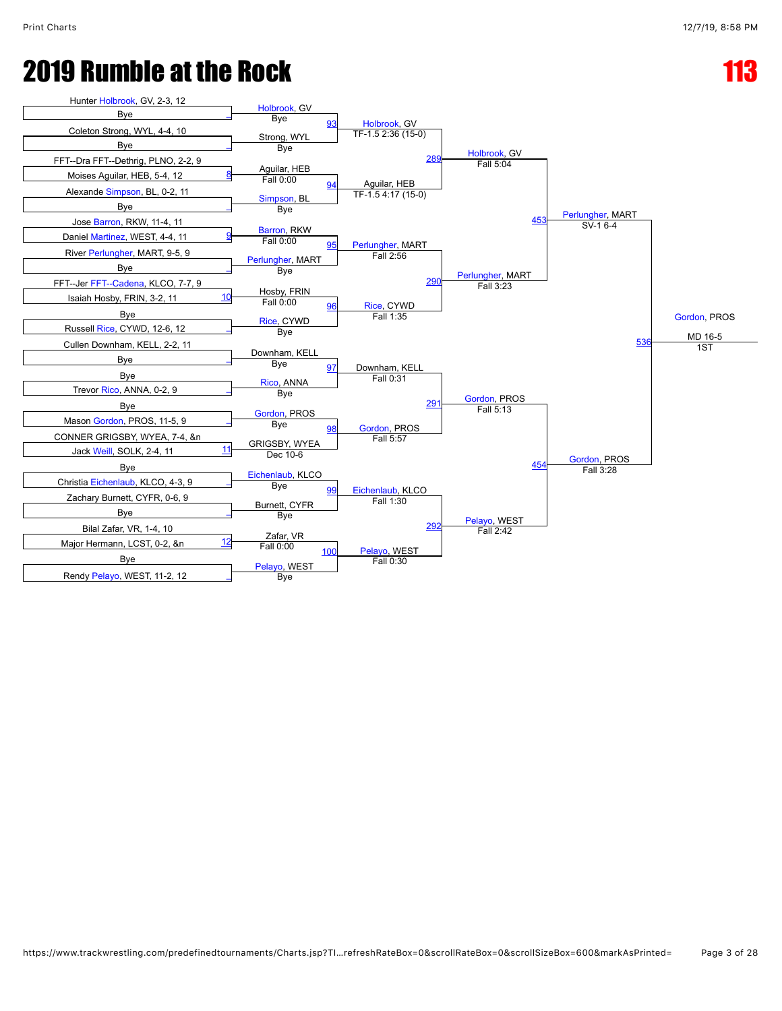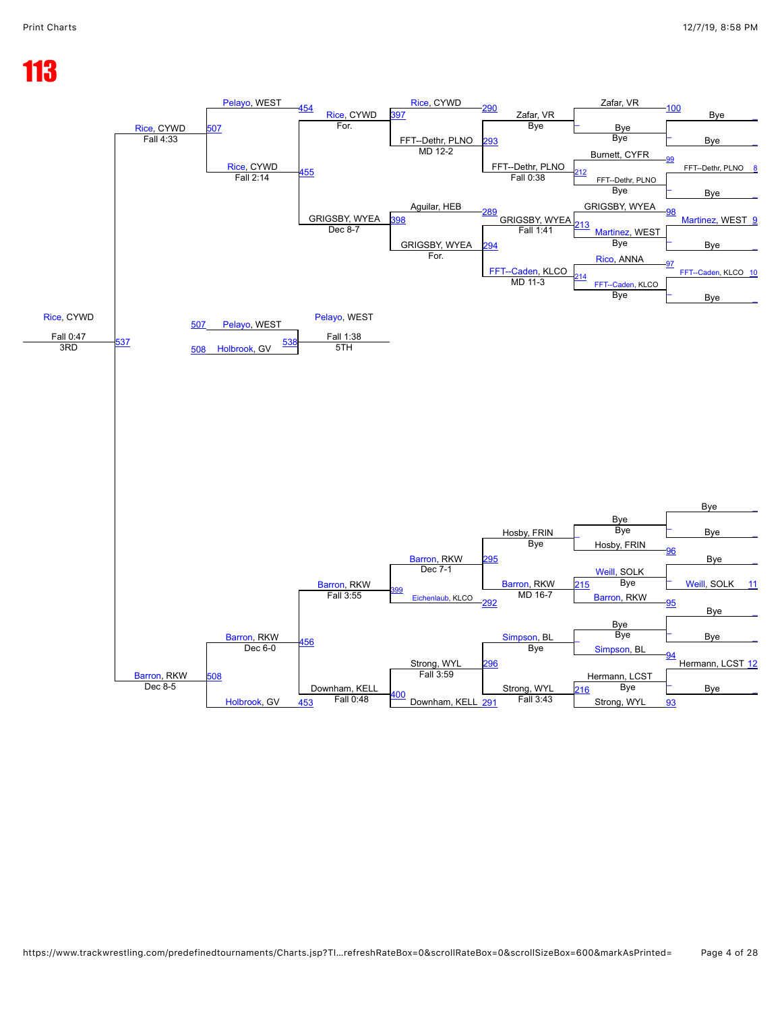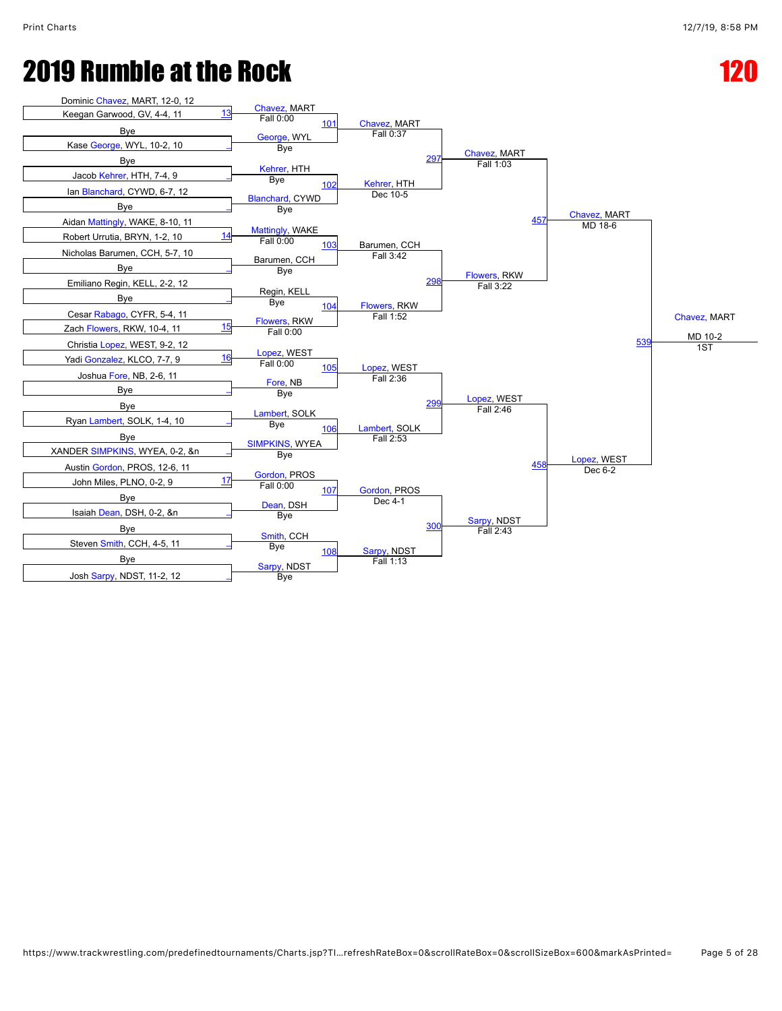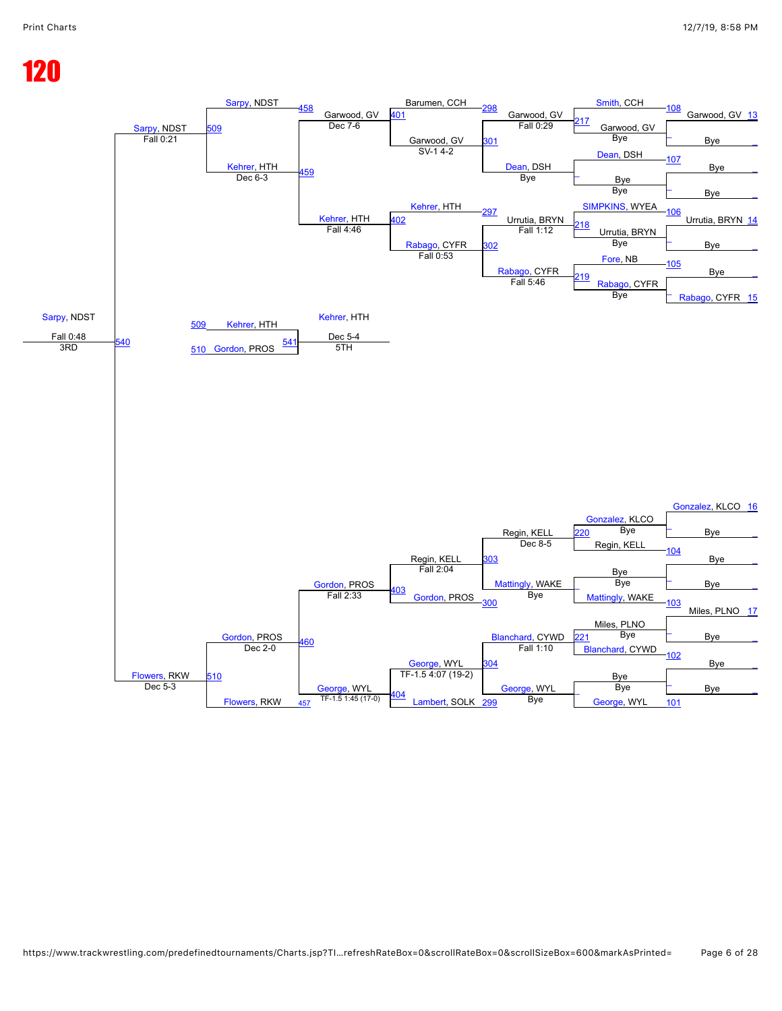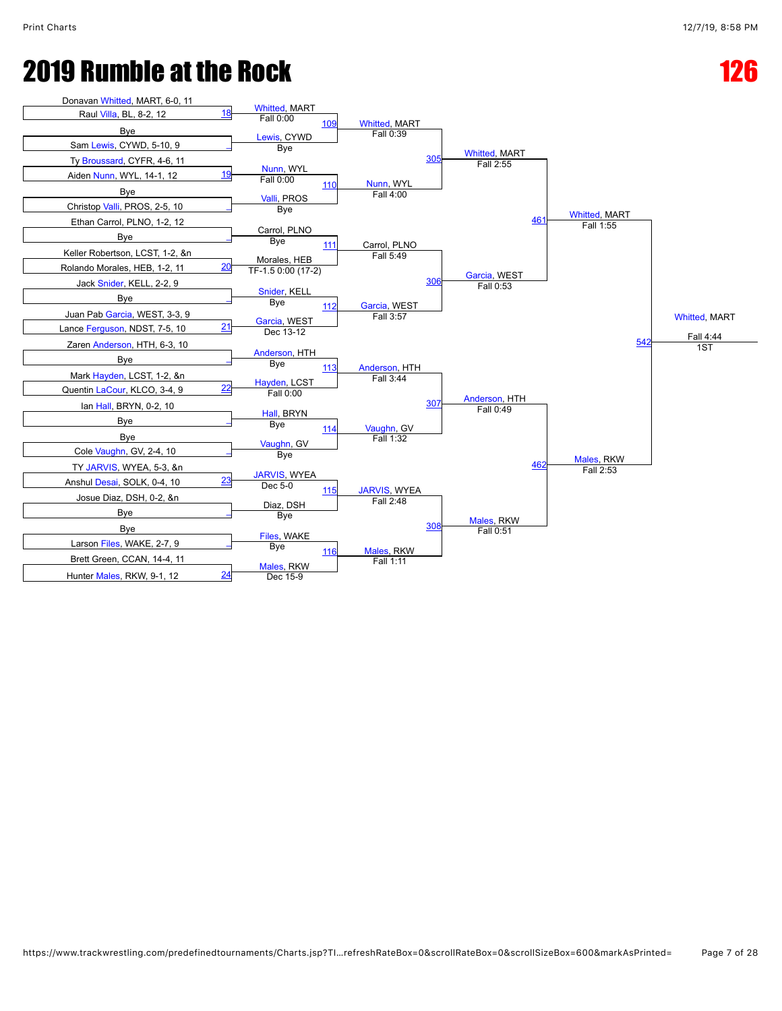## **2019 Rumble at the Rock 126 Page 126**

| Donavan Whitted, MART, 6-0, 11       |                                       |                                   |                                   |                                   |                      |
|--------------------------------------|---------------------------------------|-----------------------------------|-----------------------------------|-----------------------------------|----------------------|
| <u>18</u><br>Raul Villa, BL, 8-2, 12 | <b>Whitted, MART</b><br>Fall 0:00     |                                   |                                   |                                   |                      |
| Bye                                  | 109                                   | <b>Whitted, MART</b><br>Fall 0:39 |                                   |                                   |                      |
| Sam Lewis, CYWD, 5-10, 9             | Lewis, CYWD<br>Bye                    |                                   |                                   |                                   |                      |
| Ty Broussard, CYFR, 4-6, 11          |                                       | 305                               | <b>Whitted, MART</b><br>Fall 2:55 |                                   |                      |
| Aiden Nunn, WYL, 14-1, 12            | Nunn, WYL<br>Fall 0:00                |                                   |                                   |                                   |                      |
| Bye                                  | 110<br>Valli, PROS                    | Nunn, WYL<br>Fall 4:00            |                                   |                                   |                      |
| Christop Valli, PROS, 2-5, 10        | Bye                                   |                                   |                                   |                                   |                      |
| Ethan Carrol, PLNO, 1-2, 12          |                                       |                                   | 461                               | <b>Whitted, MART</b><br>Fall 1:55 |                      |
| Bye                                  | Carrol, PLNO<br>Bye<br>111            | Carrol, PLNO                      |                                   |                                   |                      |
| Keller Robertson, LCST, 1-2, &n      | Morales, HEB                          | Fall 5:49                         |                                   |                                   |                      |
| 20<br>Rolando Morales, HEB, 1-2, 11  | TF-1.5 0:00 (17-2)                    |                                   | Garcia, WEST                      |                                   |                      |
| Jack Snider, KELL, 2-2, 9            |                                       | 306                               | Fall 0:53                         |                                   |                      |
| Bye                                  | Snider, KELL<br>Bye<br>112            | Garcia, WEST                      |                                   |                                   |                      |
| Juan Pab Garcia, WEST, 3-3, 9        | Garcia, WEST                          | Fall 3:57                         |                                   |                                   | <b>Whitted, MART</b> |
| 21<br>Lance Ferguson, NDST, 7-5, 10  | Dec 13-12                             |                                   |                                   |                                   | Fall 4:44            |
| Zaren Anderson, HTH, 6-3, 10         |                                       |                                   |                                   | 542                               | 1ST                  |
| Bye                                  | Anderson, HTH<br>Bye<br>113           |                                   |                                   |                                   |                      |
| Mark Hayden, LCST, 1-2, &n           |                                       | Anderson, HTH<br>Fall 3:44        |                                   |                                   |                      |
| 22<br>Quentin LaCour, KLCO, 3-4, 9   | Hayden, LCST<br>Fall 0:00             |                                   |                                   |                                   |                      |
| lan Hall, BRYN, 0-2, 10              |                                       | 307                               | Anderson, HTH<br>Fall 0:49        |                                   |                      |
| Bye                                  | Hall, BRYN<br>Bye<br>114              | Vaughn, GV                        |                                   |                                   |                      |
| Bye                                  | Vaughn, GV                            | Fall 1:32                         |                                   |                                   |                      |
| Cole Vaughn, GV, 2-4, 10             | Bye                                   |                                   |                                   | Males, RKW                        |                      |
| TY JARVIS, WYEA, 5-3, &n             |                                       |                                   | 462                               | Fall 2:53                         |                      |
| 23<br>Anshul Desai, SOLK, 0-4, 10    | <b>JARVIS, WYEA</b><br>Dec 5-0<br>115 | <b>JARVIS, WYEA</b>               |                                   |                                   |                      |
| Josue Diaz, DSH, 0-2, &n             | Diaz, DSH                             | Fall 2:48                         |                                   |                                   |                      |
| Bye                                  | Bye                                   |                                   | Males, RKW                        |                                   |                      |
| Bye                                  |                                       | 308                               | Fall 0:51                         |                                   |                      |
| Larson Files, WAKE, 2-7, 9           | Files, WAKE<br>Bye<br>116             | Males, RKW                        |                                   |                                   |                      |
| Brett Green, CCAN, 14-4, 11          | Males, RKW                            | Fall 1:11                         |                                   |                                   |                      |
| 24<br>Hunter Males, RKW, 9-1, 12     | Dec 15-9                              |                                   |                                   |                                   |                      |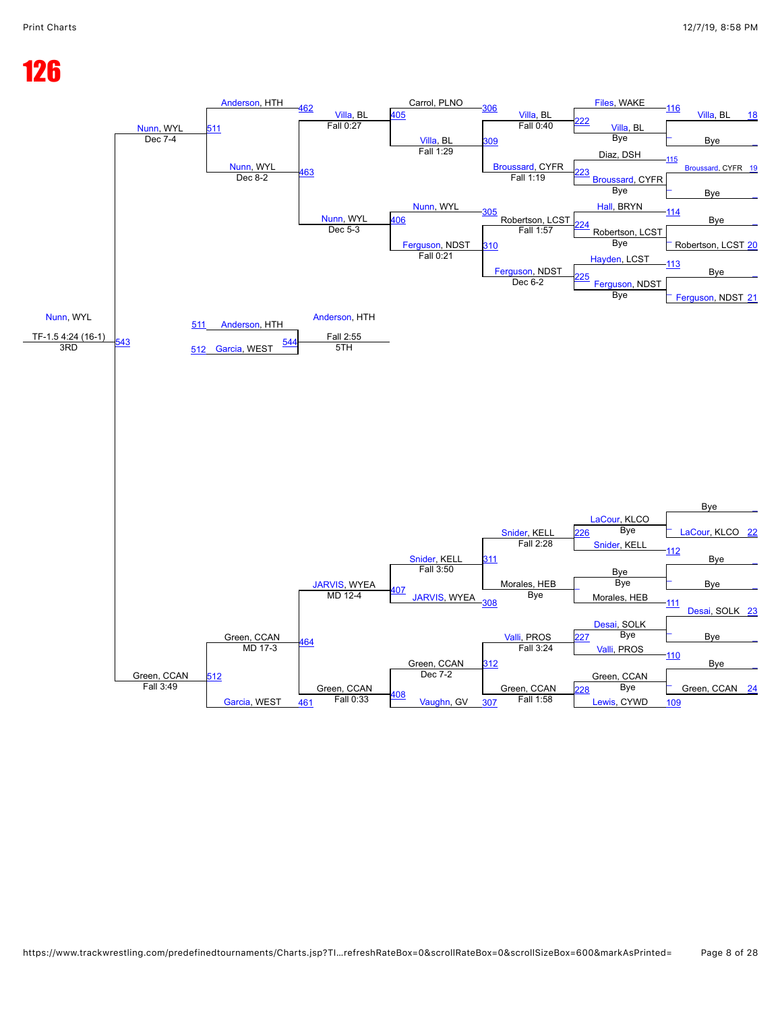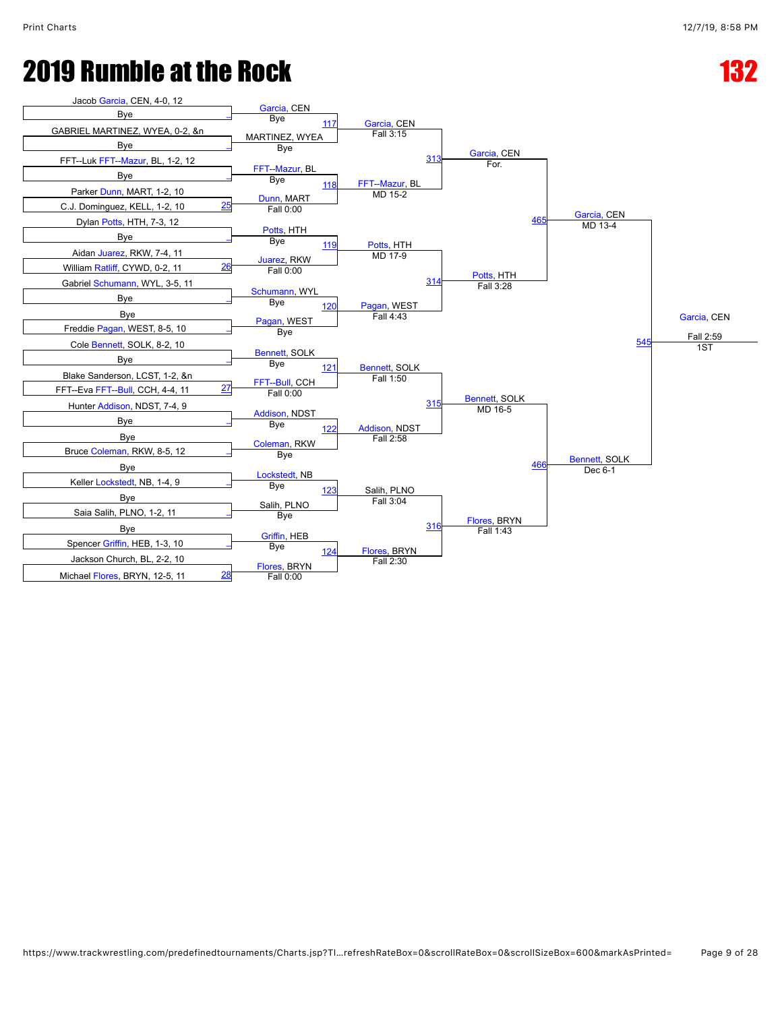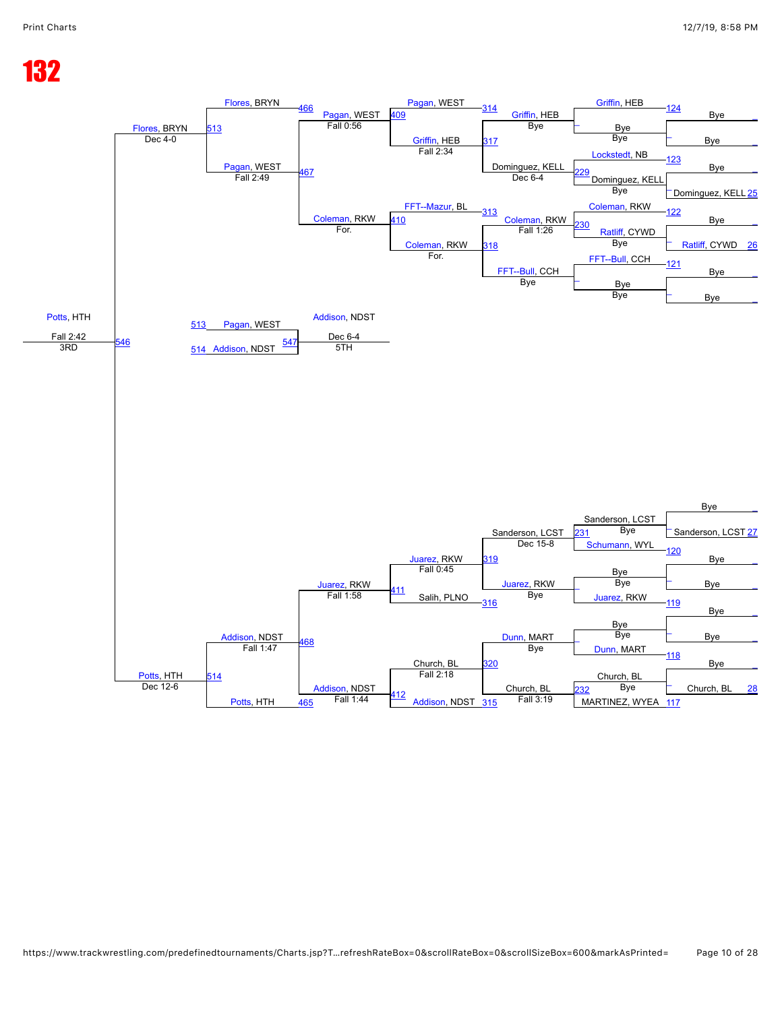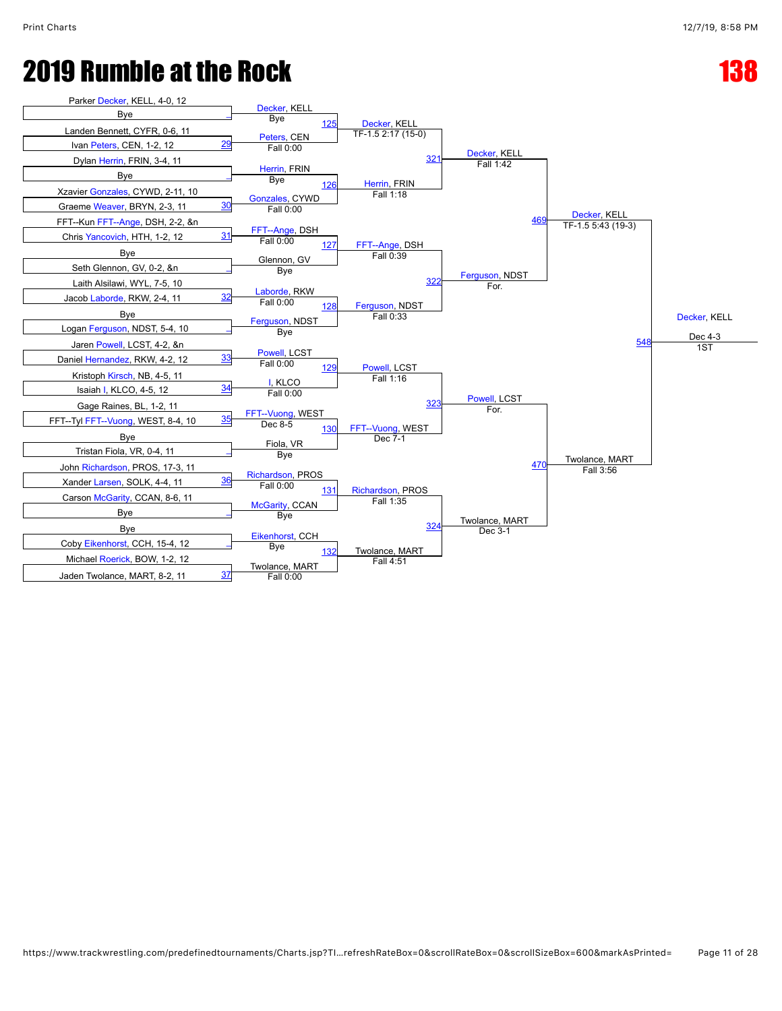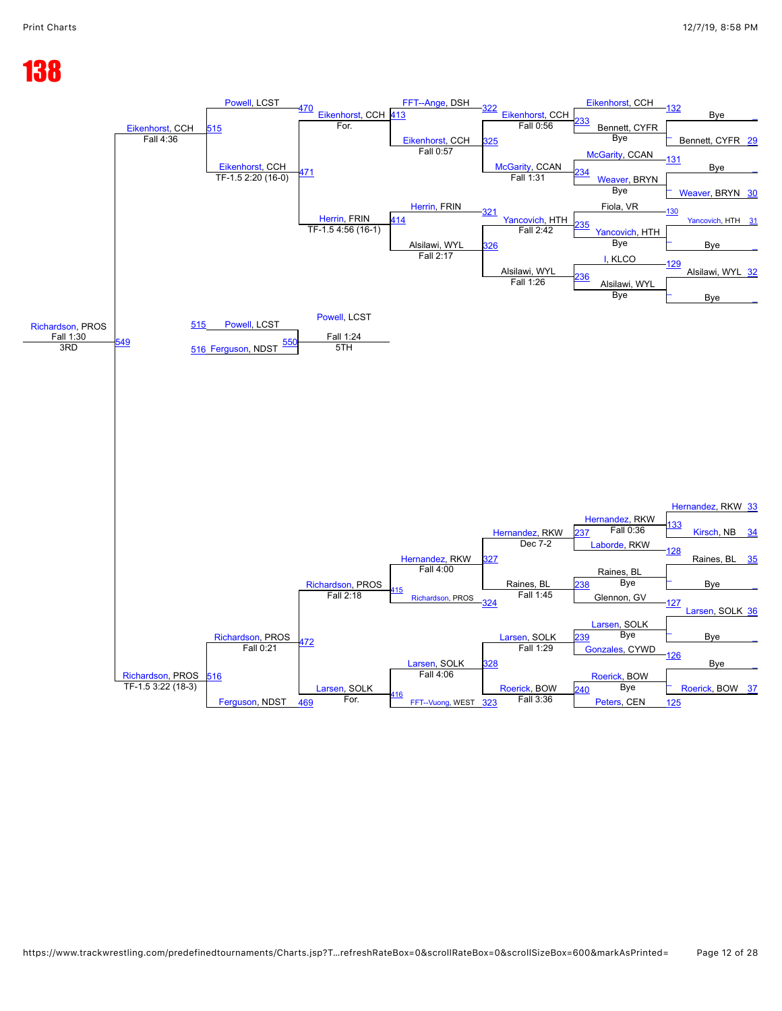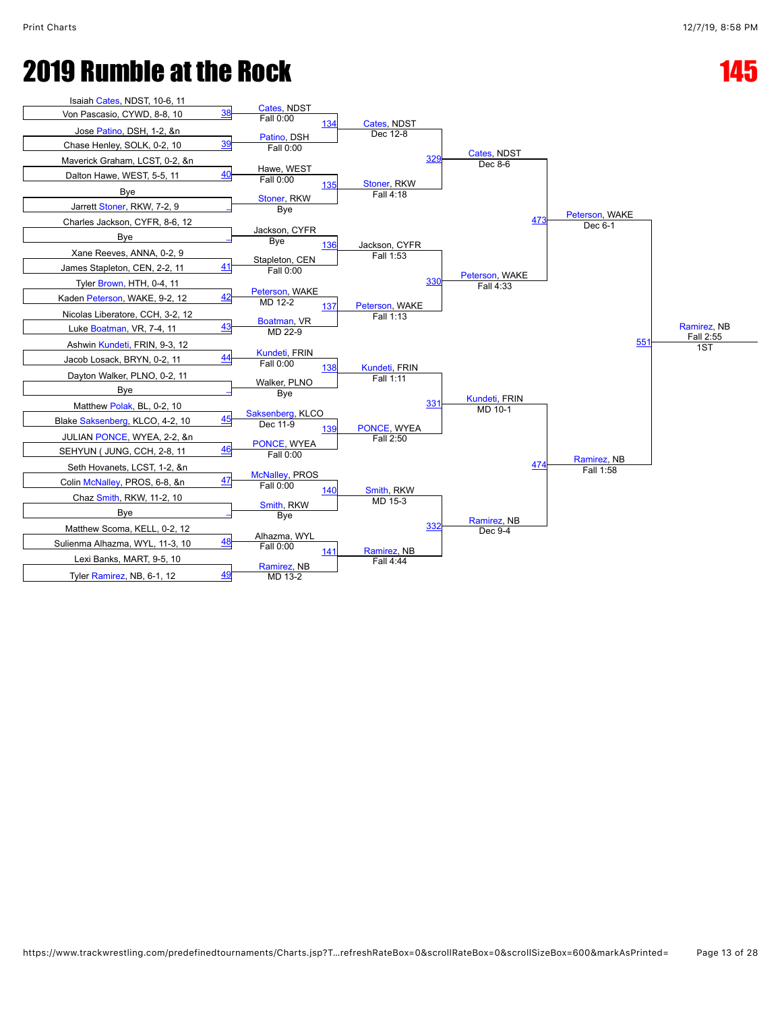| Isaiah Cates, NDST, 10-6, 11<br>Von Pascasio, CYWD, 8-8, 10 | 38        | Cates, NDST                       |                             |                             |                           |                  |
|-------------------------------------------------------------|-----------|-----------------------------------|-----------------------------|-----------------------------|---------------------------|------------------|
| Jose Patino, DSH, 1-2, &n                                   |           | Fall 0:00<br>134                  | Cates, NDST                 |                             |                           |                  |
| Chase Henley, SOLK, 0-2, 10                                 | <u>39</u> | Patino, DSH                       | Dec 12-8                    |                             |                           |                  |
| Maverick Graham, LCST, 0-2, &n                              |           | Fall 0:00                         | <b>329</b>                  | Cates, NDST                 |                           |                  |
| Dalton Hawe, WEST, 5-5, 11                                  | 40        | Hawe, WEST                        |                             | Dec 8-6                     |                           |                  |
| Bye                                                         |           | Fall 0:00<br>135                  | Stoner, RKW<br>Fall 4:18    |                             |                           |                  |
| Jarrett Stoner, RKW, 7-2, 9                                 |           | Stoner, RKW<br>Bye                |                             |                             |                           |                  |
| Charles Jackson, CYFR, 8-6, 12                              |           |                                   |                             | 473                         | Peterson, WAKE<br>Dec 6-1 |                  |
| Bye                                                         |           | Jackson, CYFR<br>Bye              |                             |                             |                           |                  |
| Xane Reeves, ANNA, 0-2, 9                                   |           | 136                               | Jackson, CYFR<br>Fall 1:53  |                             |                           |                  |
| James Stapleton, CEN, 2-2, 11                               | 41        | Stapleton, CEN<br>Fall 0:00       |                             |                             |                           |                  |
| Tyler Brown, HTH, 0-4, 11                                   |           |                                   | 330                         | Peterson, WAKE<br>Fall 4:33 |                           |                  |
| Kaden Peterson, WAKE, 9-2, 12                               | 42        | Peterson, WAKE<br>MD 12-2         |                             |                             |                           |                  |
| Nicolas Liberatore, CCH, 3-2, 12                            |           | 137                               | Peterson, WAKE<br>Fall 1:13 |                             |                           |                  |
| Luke Boatman, VR, 7-4, 11                                   | 43        | Boatman, VR<br>MD 22-9            |                             |                             |                           | Ramirez, NB      |
| Ashwin Kundeti, FRIN, 9-3, 12                               |           |                                   |                             |                             | 551                       | Fall 2:55<br>1ST |
| Jacob Losack, BRYN, 0-2, 11                                 | <u>44</u> | Kundeti, FRIN<br>Fall 0:00<br>138 | Kundeti, FRIN               |                             |                           |                  |
| Dayton Walker, PLNO, 0-2, 11                                |           | Walker, PLNO                      | Fall 1:11                   |                             |                           |                  |
| Bye                                                         |           | Bye                               |                             | Kundeti, FRIN               |                           |                  |
| Matthew Polak, BL, 0-2, 10                                  |           | Saksenberg, KLCO                  | 331                         | MD 10-1                     |                           |                  |
| Blake Saksenberg, KLCO, 4-2, 10                             | 45        | Dec 11-9<br>139                   | PONCE, WYEA                 |                             |                           |                  |
| JULIAN PONCE, WYEA, 2-2, &n                                 |           | PONCE, WYEA                       | Fall 2:50                   |                             |                           |                  |
| SEHYUN (JUNG, CCH, 2-8, 11                                  | 46        | Fall 0:00                         |                             |                             | Ramirez, NB               |                  |
| Seth Hovanets, LCST, 1-2, &n                                |           | <b>McNalley, PROS</b>             |                             | 474                         | Fall 1:58                 |                  |
| Colin McNalley, PROS, 6-8, &n                               | 47        | Fall 0:00<br>140                  | Smith, RKW                  |                             |                           |                  |
| Chaz Smith, RKW, 11-2, 10                                   |           | Smith, RKW                        | MD 15-3                     |                             |                           |                  |
| Bye                                                         |           | Bye                               |                             | Ramirez, NB                 |                           |                  |
| Matthew Scoma, KELL, 0-2, 12                                |           | Alhazma, WYL                      | 332                         | Dec 9-4                     |                           |                  |
| Sulienma Alhazma, WYL, 11-3, 10                             | <u>48</u> | Fall 0:00<br>141                  | Ramirez, NB                 |                             |                           |                  |
| Lexi Banks, MART, 9-5, 10                                   |           | Ramirez, NB                       | Fall 4:44                   |                             |                           |                  |
| Tyler Ramirez, NB, 6-1, 12                                  | <u>49</u> | MD 13-2                           |                             |                             |                           |                  |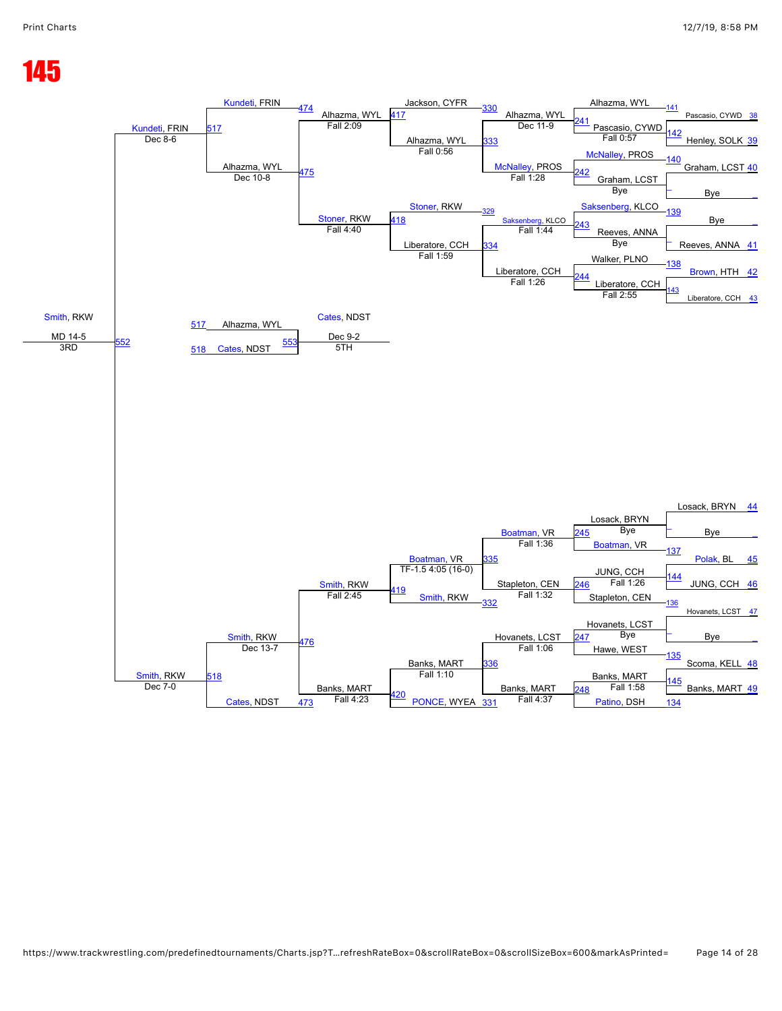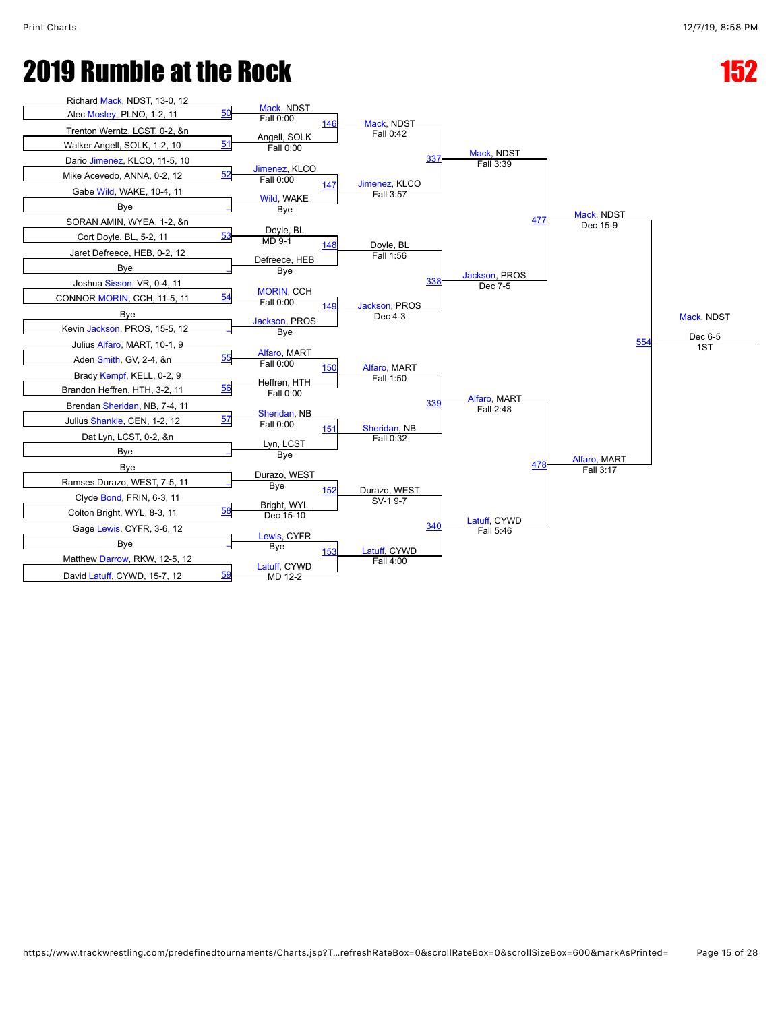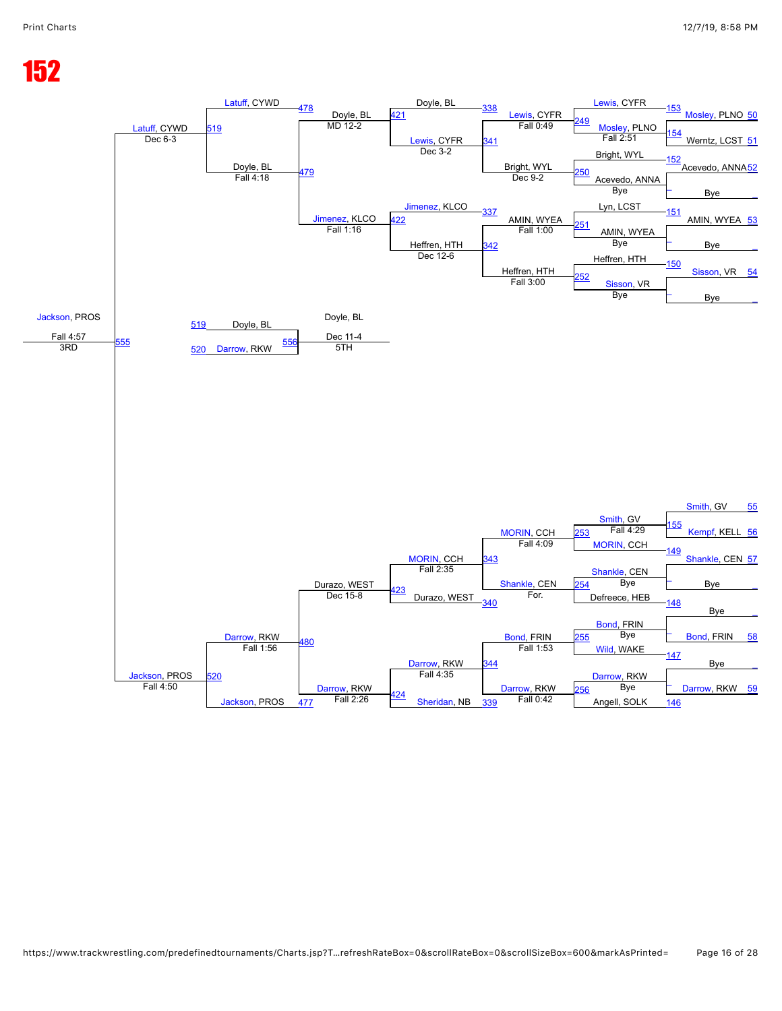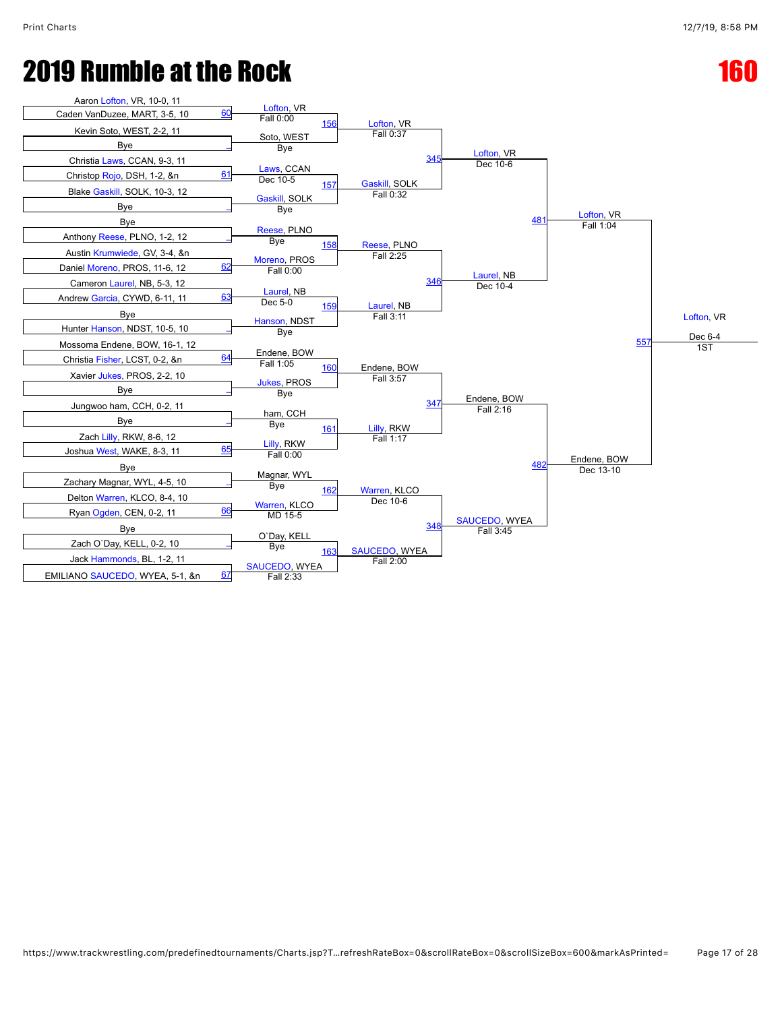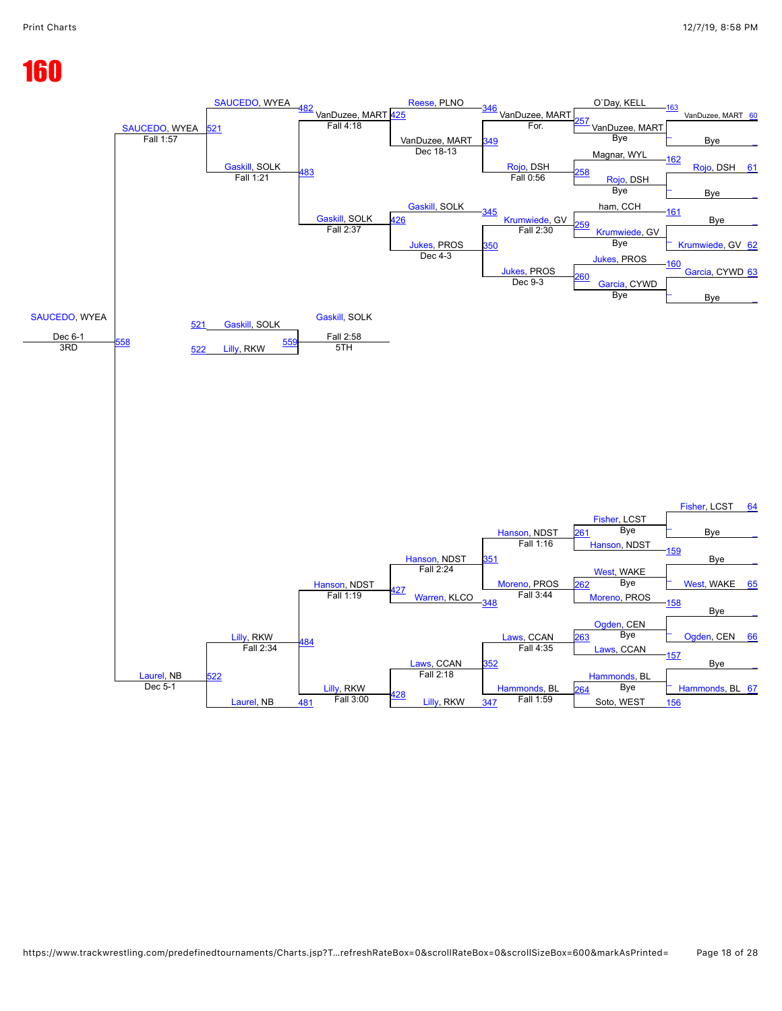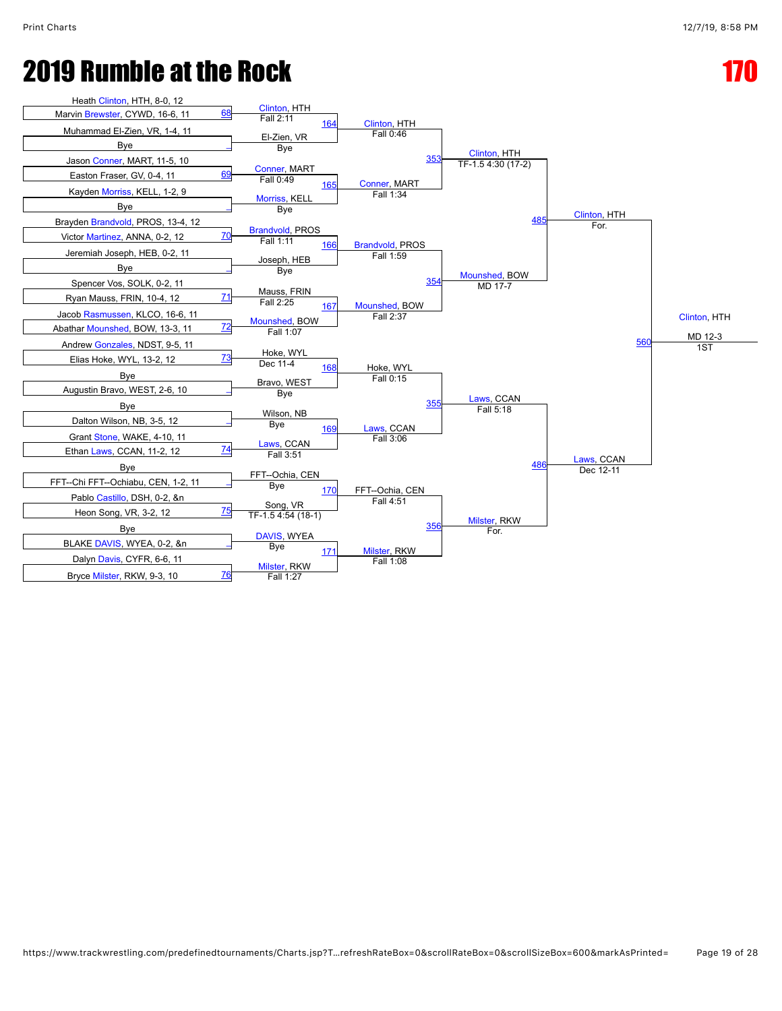

https://www.trackwrestling.com/predefinedtournaments/Charts.jsp?T…refreshRateBox=0&scrollRateBox=0&scrollSizeBox=600&markAsPrinted= Page 19 of 28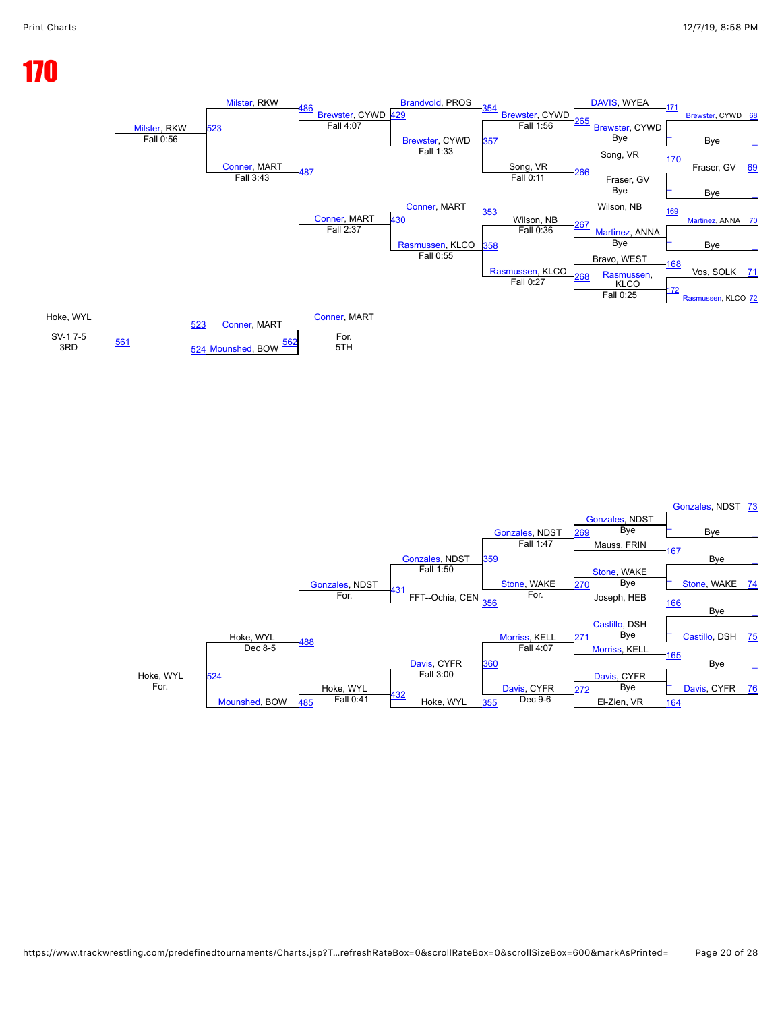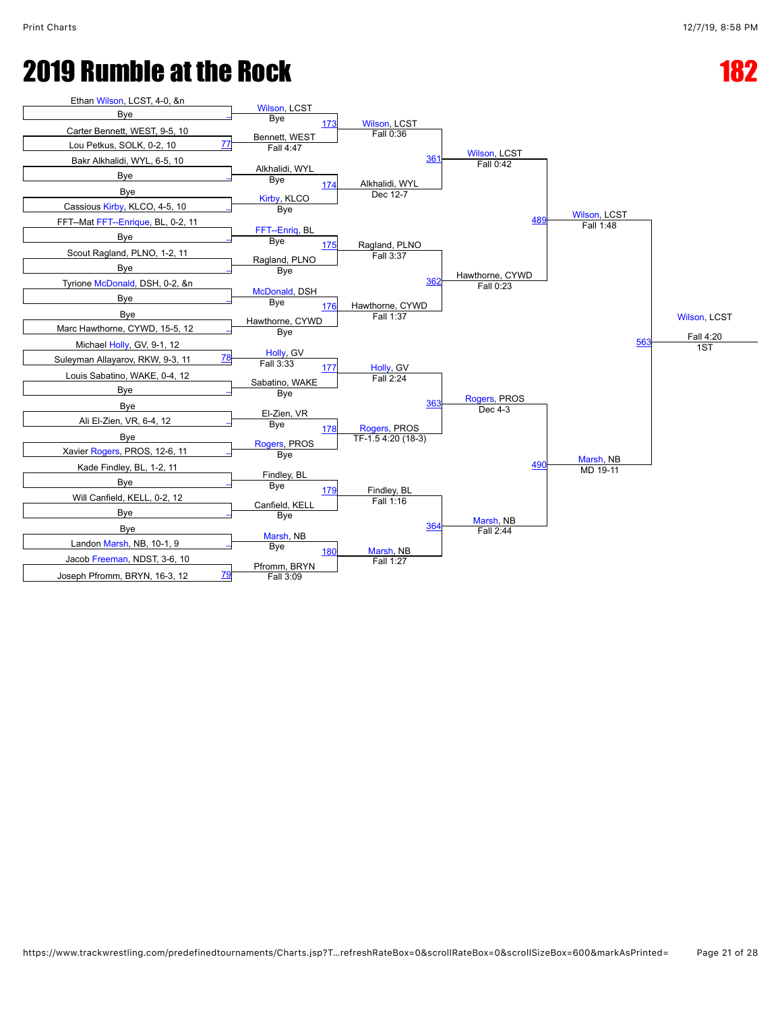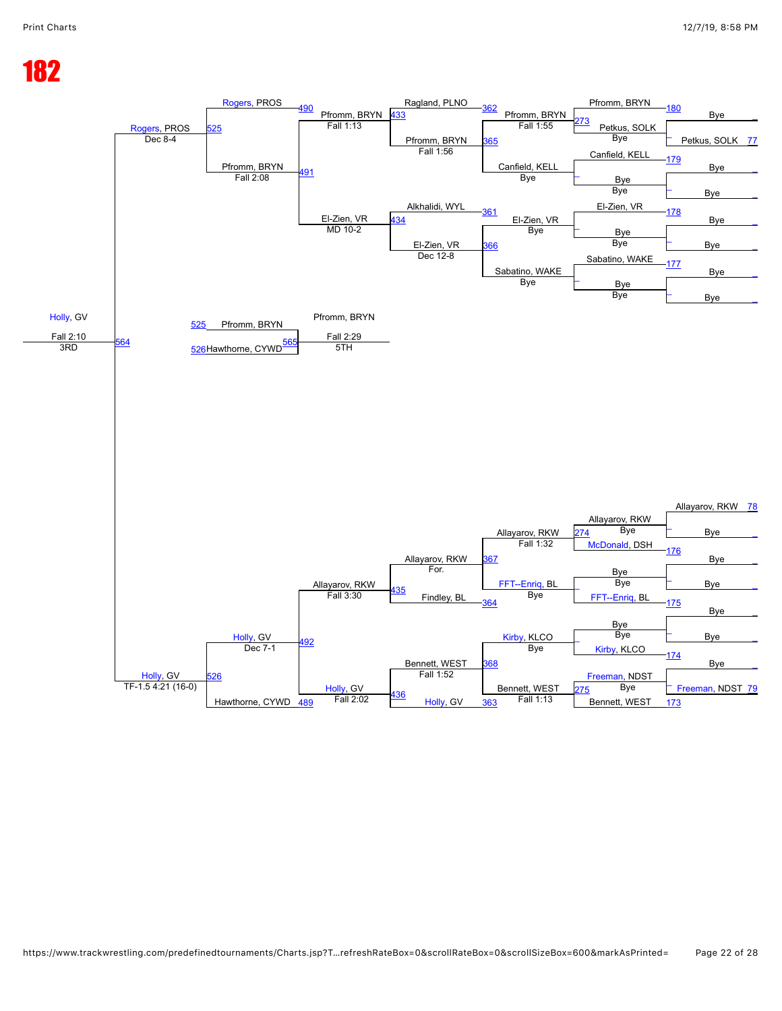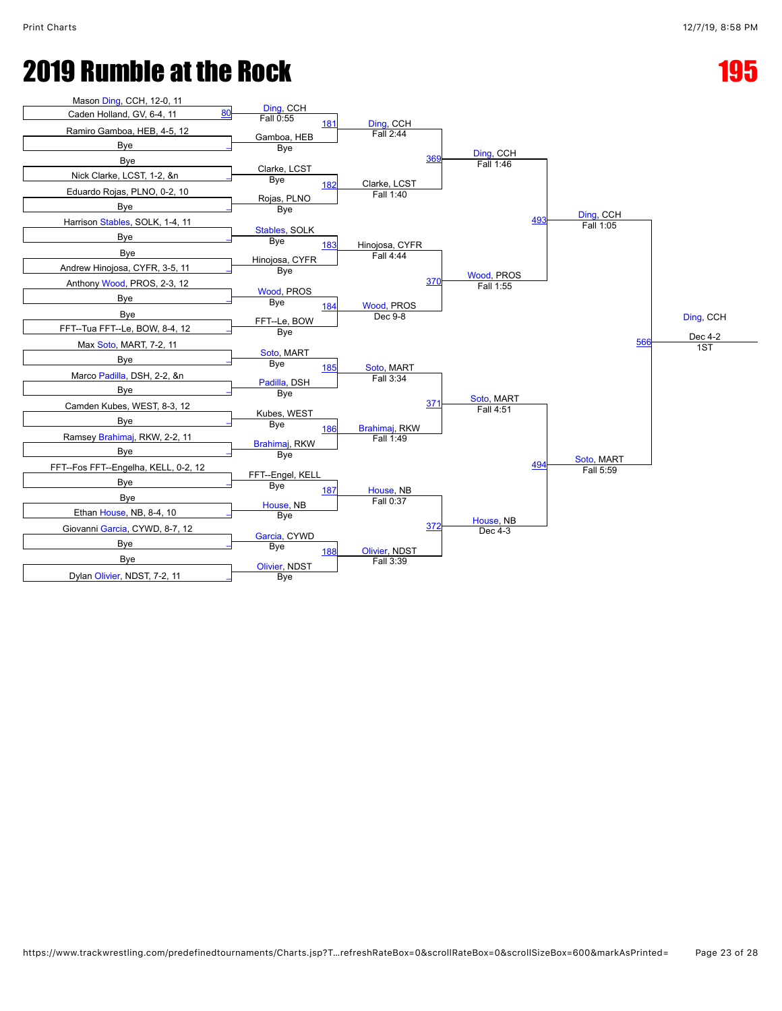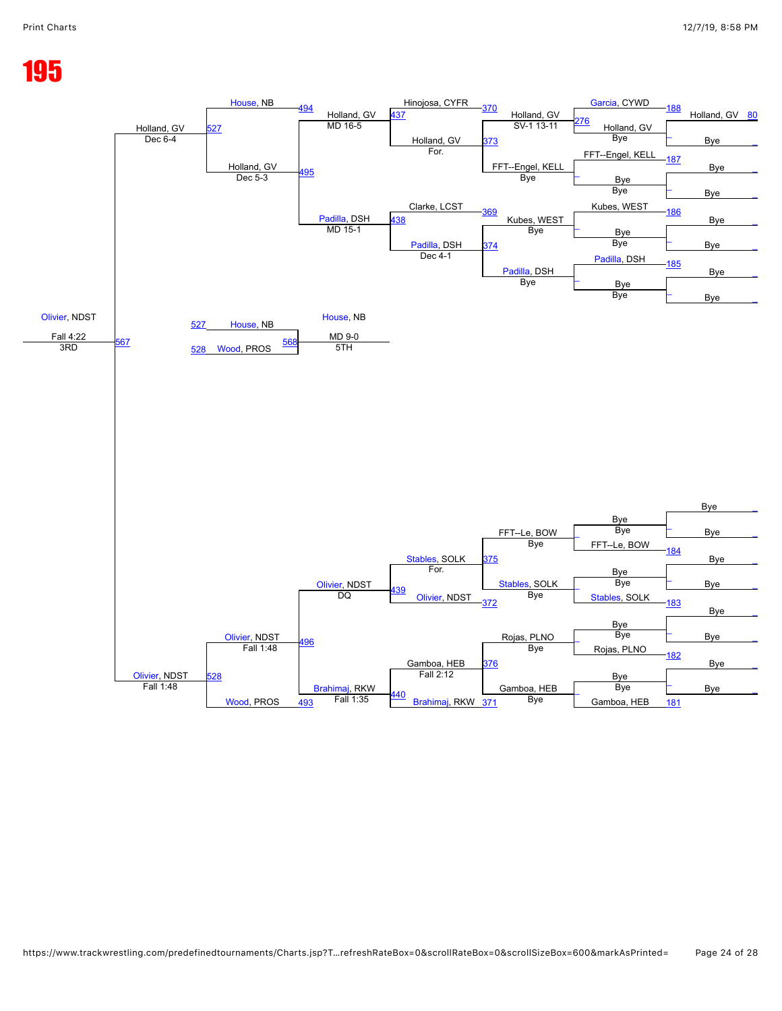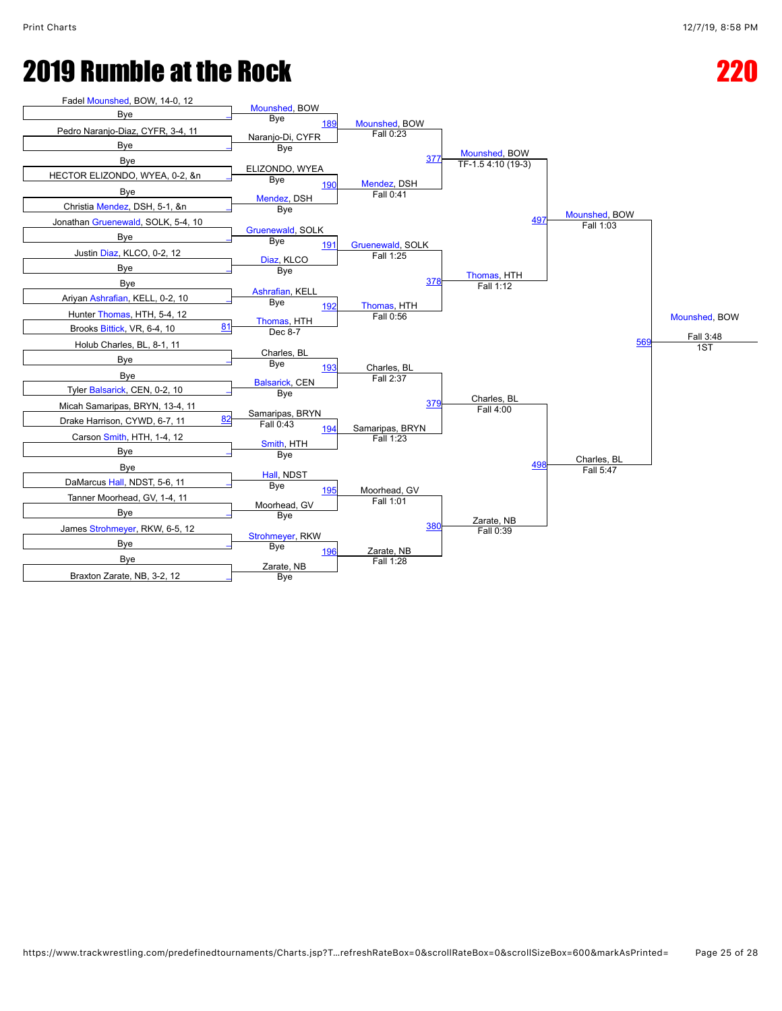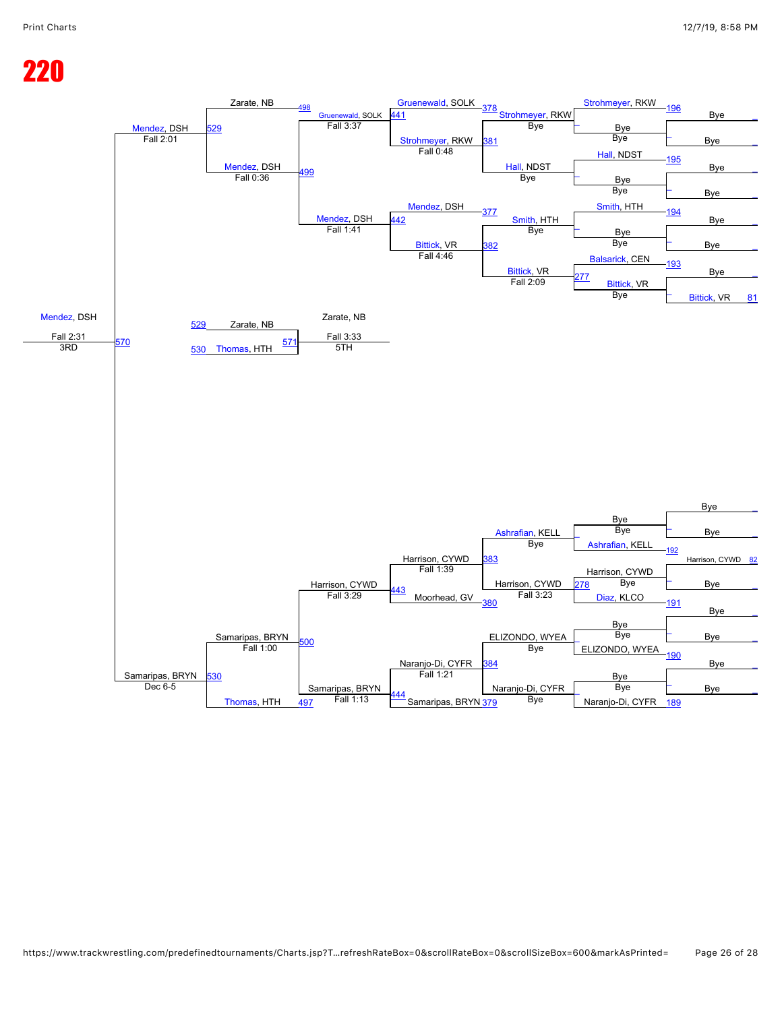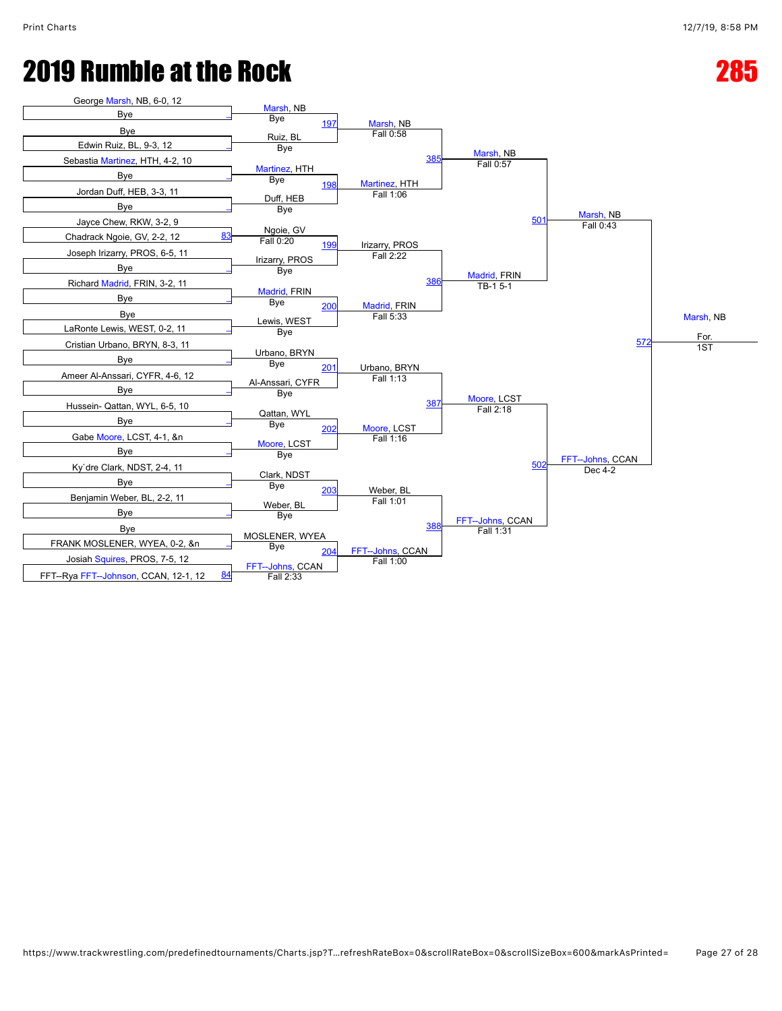